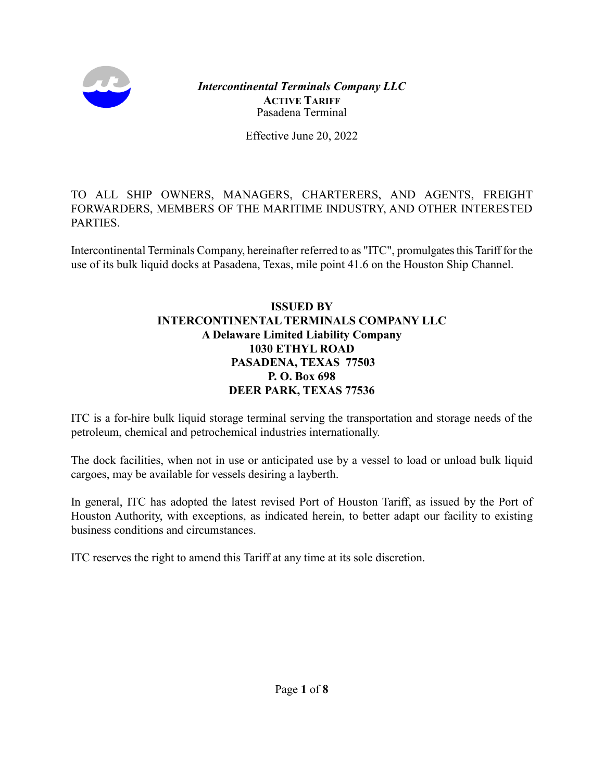

Effective June 20, 2022

TO ALL SHIP OWNERS, MANAGERS, CHARTERERS, AND AGENTS, FREIGHT FORWARDERS, MEMBERS OF THE MARITIME INDUSTRY, AND OTHER INTERESTED PARTIES.

Intercontinental Terminals Company, hereinafter referred to as "ITC", promulgates this Tariff for the use of its bulk liquid docks at Pasadena, Texas, mile point 41.6 on the Houston Ship Channel.

### **ISSUED BY INTERCONTINENTAL TERMINALS COMPANY LLC A Delaware Limited Liability Company 1030 ETHYL ROAD PASADENA, TEXAS 77503 P. O. Box 698 DEER PARK, TEXAS 77536**

ITC is a for-hire bulk liquid storage terminal serving the transportation and storage needs of the petroleum, chemical and petrochemical industries internationally.

The dock facilities, when not in use or anticipated use by a vessel to load or unload bulk liquid cargoes, may be available for vessels desiring a layberth.

In general, ITC has adopted the latest revised Port of Houston Tariff, as issued by the Port of Houston Authority, with exceptions, as indicated herein, to better adapt our facility to existing business conditions and circumstances.

ITC reserves the right to amend this Tariff at any time at its sole discretion.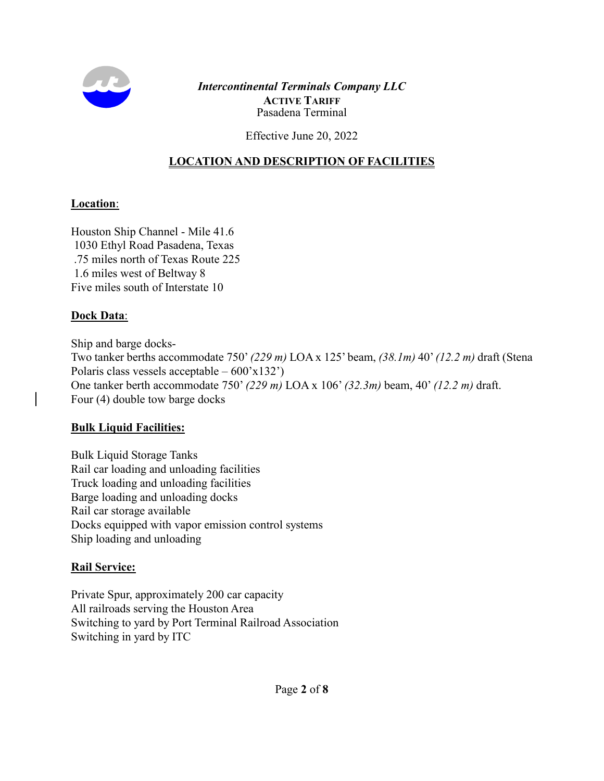

Effective June 20, 2022

## **LOCATION AND DESCRIPTION OF FACILITIES**

### **Location**:

Houston Ship Channel - Mile 41.6 1030 Ethyl Road Pasadena, Texas .75 miles north of Texas Route 225 1.6 miles west of Beltway 8 Five miles south of Interstate 10

#### **Dock Data**:

Ship and barge docks-Two tanker berths accommodate 750' *(229 m)* LOA x 125' beam, *(38.1m)* 40' *(12.2 m)* draft (Stena Polaris class vessels acceptable  $-600'x132'$ One tanker berth accommodate 750' *(229 m)* LOA x 106' *(32.3m)* beam, 40' *(12.2 m)* draft. Four (4) double tow barge docks

### **Bulk Liquid Facilities:**

Bulk Liquid Storage Tanks Rail car loading and unloading facilities Truck loading and unloading facilities Barge loading and unloading docks Rail car storage available Docks equipped with vapor emission control systems Ship loading and unloading

### **Rail Service:**

Private Spur, approximately 200 car capacity All railroads serving the Houston Area Switching to yard by Port Terminal Railroad Association Switching in yard by ITC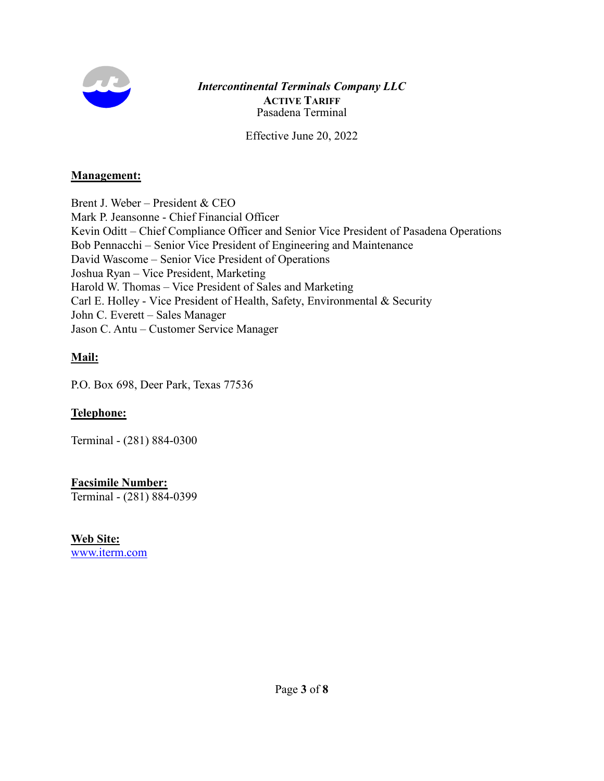

Effective June 20, 2022

#### **Management:**

Brent J. Weber – President & CEO Mark P. Jeansonne - Chief Financial Officer Kevin Oditt – Chief Compliance Officer and Senior Vice President of Pasadena Operations Bob Pennacchi – Senior Vice President of Engineering and Maintenance David Wascome – Senior Vice President of Operations Joshua Ryan – Vice President, Marketing Harold W. Thomas – Vice President of Sales and Marketing Carl E. Holley - Vice President of Health, Safety, Environmental & Security John C. Everett – Sales Manager Jason C. Antu – Customer Service Manager

## **Mail:**

P.O. Box 698, Deer Park, Texas 77536

### **Telephone:**

Terminal - (281) 884-0300

**Facsimile Number:** Terminal - (281) 884-0399

**Web Site:** [www.iterm.com](http://www.iterm.com/)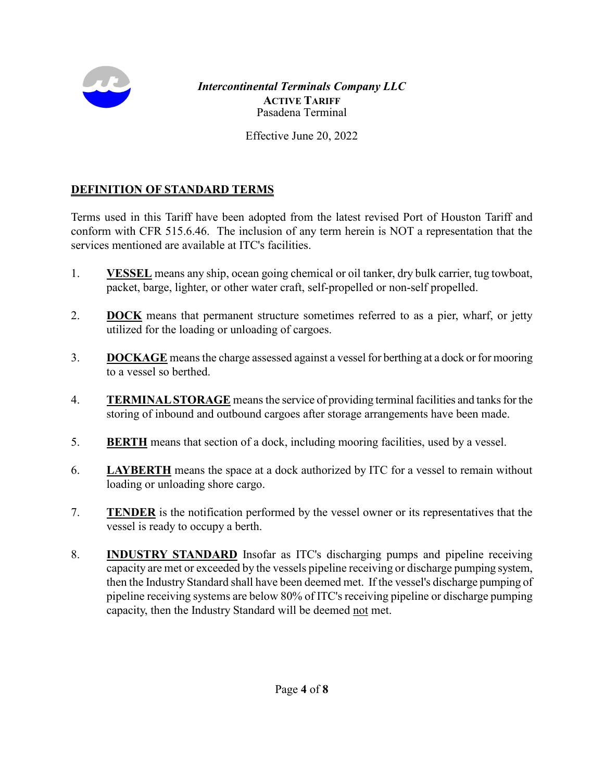

Effective June 20, 2022

## **DEFINITION OF STANDARD TERMS**

Terms used in this Tariff have been adopted from the latest revised Port of Houston Tariff and conform with CFR 515.6.46. The inclusion of any term herein is NOT a representation that the services mentioned are available at ITC's facilities.

- 1. **VESSEL** means any ship, ocean going chemical or oil tanker, dry bulk carrier, tug towboat, packet, barge, lighter, or other water craft, self-propelled or non-self propelled.
- 2. **DOCK** means that permanent structure sometimes referred to as a pier, wharf, or jetty utilized for the loading or unloading of cargoes.
- 3. **DOCKAGE** means the charge assessed against a vessel for berthing at a dock or for mooring to a vessel so berthed.
- 4. **TERMINAL STORAGE** means the service of providing terminal facilities and tanks for the storing of inbound and outbound cargoes after storage arrangements have been made.
- 5. **BERTH** means that section of a dock, including mooring facilities, used by a vessel.
- 6. **LAYBERTH** means the space at a dock authorized by ITC for a vessel to remain without loading or unloading shore cargo.
- 7. **TENDER** is the notification performed by the vessel owner or its representatives that the vessel is ready to occupy a berth.
- 8. **INDUSTRY STANDARD** Insofar as ITC's discharging pumps and pipeline receiving capacity are met or exceeded by the vessels pipeline receiving or discharge pumping system, then the Industry Standard shall have been deemed met. If the vessel's discharge pumping of pipeline receiving systems are below 80% of ITC's receiving pipeline or discharge pumping capacity, then the Industry Standard will be deemed not met.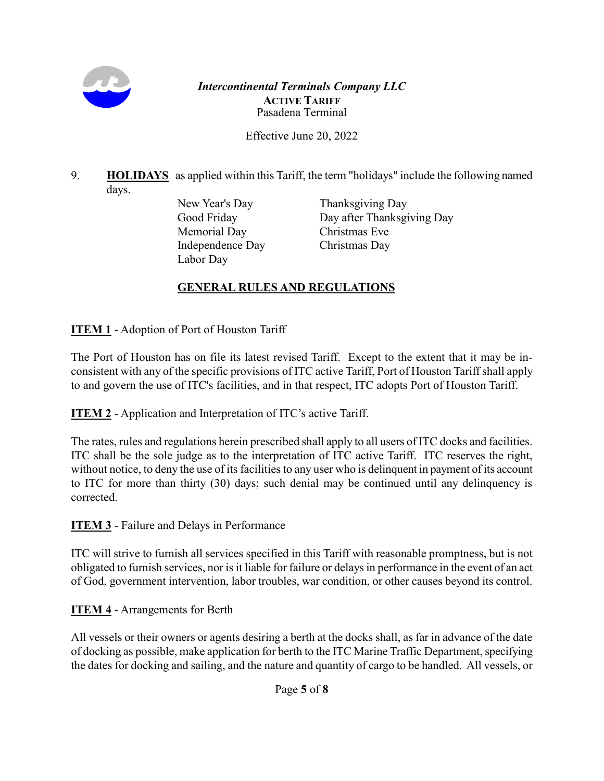

Effective June 20, 2022

9. **HOLIDAYS** as applied within this Tariff, the term "holidays" include the following named days.

Memorial Day Christmas Eve Independence Day Christmas Day Labor Day

New Year's Day Thanksgiving Day Good Friday Day after Thanksgiving Day

# **GENERAL RULES AND REGULATIONS**

**ITEM 1** - Adoption of Port of Houston Tariff

The Port of Houston has on file its latest revised Tariff. Except to the extent that it may be inconsistent with any of the specific provisions of ITC active Tariff, Port of Houston Tariffshall apply to and govern the use of ITC's facilities, and in that respect, ITC adopts Port of Houston Tariff.

**ITEM 2** - Application and Interpretation of ITC's active Tariff.

The rates, rules and regulations herein prescribed shall apply to all users of ITC docks and facilities. ITC shall be the sole judge as to the interpretation of ITC active Tariff. ITC reserves the right, without notice, to deny the use of its facilities to any user who is delinquent in payment of its account to ITC for more than thirty (30) days; such denial may be continued until any delinquency is corrected.

**ITEM 3** - Failure and Delays in Performance

ITC will strive to furnish all services specified in this Tariff with reasonable promptness, but is not obligated to furnish services, nor is it liable for failure or delays in performance in the event of an act of God, government intervention, labor troubles, war condition, or other causes beyond its control.

## **ITEM 4** - Arrangements for Berth

All vessels or their owners or agents desiring a berth at the docks shall, as far in advance of the date of docking as possible, make application for berth to the ITC Marine Traffic Department, specifying the dates for docking and sailing, and the nature and quantity of cargo to be handled. All vessels, or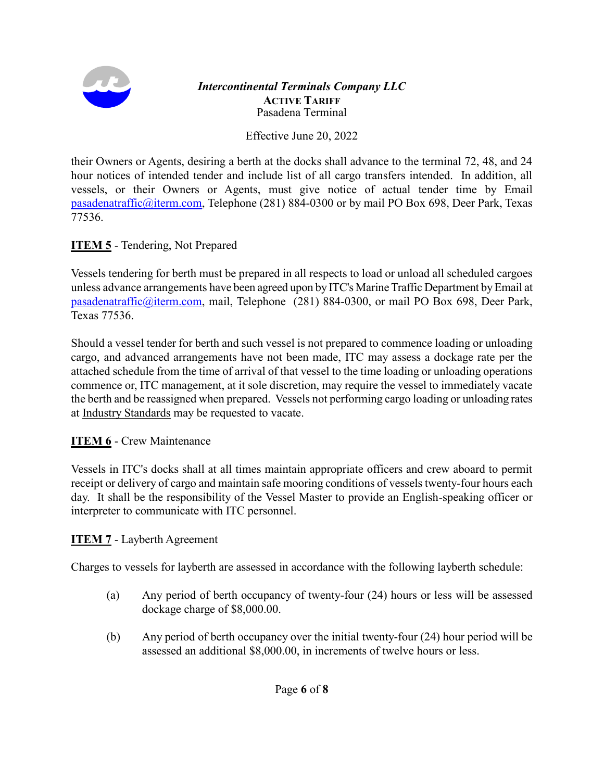

Effective June 20, 2022

their Owners or Agents, desiring a berth at the docks shall advance to the terminal 72, 48, and 24 hour notices of intended tender and include list of all cargo transfers intended. In addition, all vessels, or their Owners or Agents, must give notice of actual tender time by Email [pasadenatraffic@iterm.com,](mailto:traffic@iterm.com) Telephone (281) 884-0300 or by mail PO Box 698, Deer Park, Texas 77536.

## **ITEM 5** - Tendering, Not Prepared

Vessels tendering for berth must be prepared in all respects to load or unload all scheduled cargoes unless advance arrangements have been agreed upon by ITC's Marine Traffic Department by Email at [pasadenatraffic@iterm.com,](mailto:traffic@iterm.com) mail, Telephone (281) 884-0300, or mail PO Box 698, Deer Park, Texas 77536.

Should a vessel tender for berth and such vessel is not prepared to commence loading or unloading cargo, and advanced arrangements have not been made, ITC may assess a dockage rate per the attached schedule from the time of arrival of that vessel to the time loading or unloading operations commence or, ITC management, at it sole discretion, may require the vessel to immediately vacate the berth and be reassigned when prepared. Vessels not performing cargo loading or unloading rates at Industry Standards may be requested to vacate.

## **ITEM 6** - Crew Maintenance

Vessels in ITC's docks shall at all times maintain appropriate officers and crew aboard to permit receipt or delivery of cargo and maintain safe mooring conditions of vessels twenty-four hours each day. It shall be the responsibility of the Vessel Master to provide an English-speaking officer or interpreter to communicate with ITC personnel.

## **ITEM 7** - Layberth Agreement

Charges to vessels for layberth are assessed in accordance with the following layberth schedule:

- (a) Any period of berth occupancy of twenty-four (24) hours or less will be assessed dockage charge of \$8,000.00.
- (b) Any period of berth occupancy over the initial twenty-four (24) hour period will be assessed an additional \$8,000.00, in increments of twelve hours or less.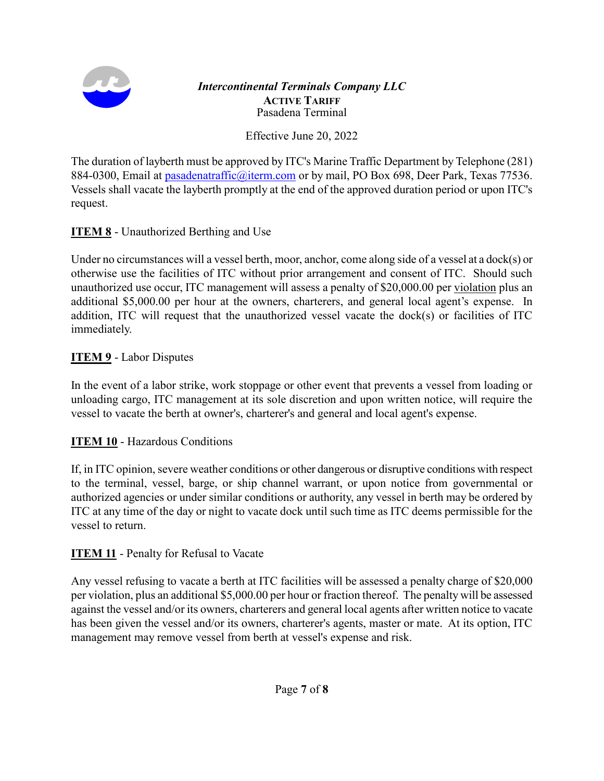

Effective June 20, 2022

The duration of layberth must be approved by ITC's Marine Traffic Department by Telephone (281) 884-0300, Email at [pasadenatraffic@iterm.com](mailto:pasadenatraffic@iterm.com) or by mail, PO Box 698, Deer Park, Texas 77536. Vessels shall vacate the layberth promptly at the end of the approved duration period or upon ITC's request.

## **ITEM 8** - Unauthorized Berthing and Use

Under no circumstances will a vessel berth, moor, anchor, come along side of a vessel at a dock(s) or otherwise use the facilities of ITC without prior arrangement and consent of ITC. Should such unauthorized use occur, ITC management will assess a penalty of \$20,000.00 per violation plus an additional \$5,000.00 per hour at the owners, charterers, and general local agent's expense. In addition, ITC will request that the unauthorized vessel vacate the dock(s) or facilities of ITC immediately.

## **ITEM 9** - Labor Disputes

In the event of a labor strike, work stoppage or other event that prevents a vessel from loading or unloading cargo, ITC management at its sole discretion and upon written notice, will require the vessel to vacate the berth at owner's, charterer's and general and local agent's expense.

## **ITEM 10** - Hazardous Conditions

If, in ITC opinion, severe weather conditions or other dangerous or disruptive conditions with respect to the terminal, vessel, barge, or ship channel warrant, or upon notice from governmental or authorized agencies or under similar conditions or authority, any vessel in berth may be ordered by ITC at any time of the day or night to vacate dock until such time as ITC deems permissible for the vessel to return.

## **ITEM 11** - Penalty for Refusal to Vacate

Any vessel refusing to vacate a berth at ITC facilities will be assessed a penalty charge of \$20,000 per violation, plus an additional \$5,000.00 per hour or fraction thereof. The penalty will be assessed against the vessel and/or its owners, charterers and general local agents after written notice to vacate has been given the vessel and/or its owners, charterer's agents, master or mate. At its option, ITC management may remove vessel from berth at vessel's expense and risk.